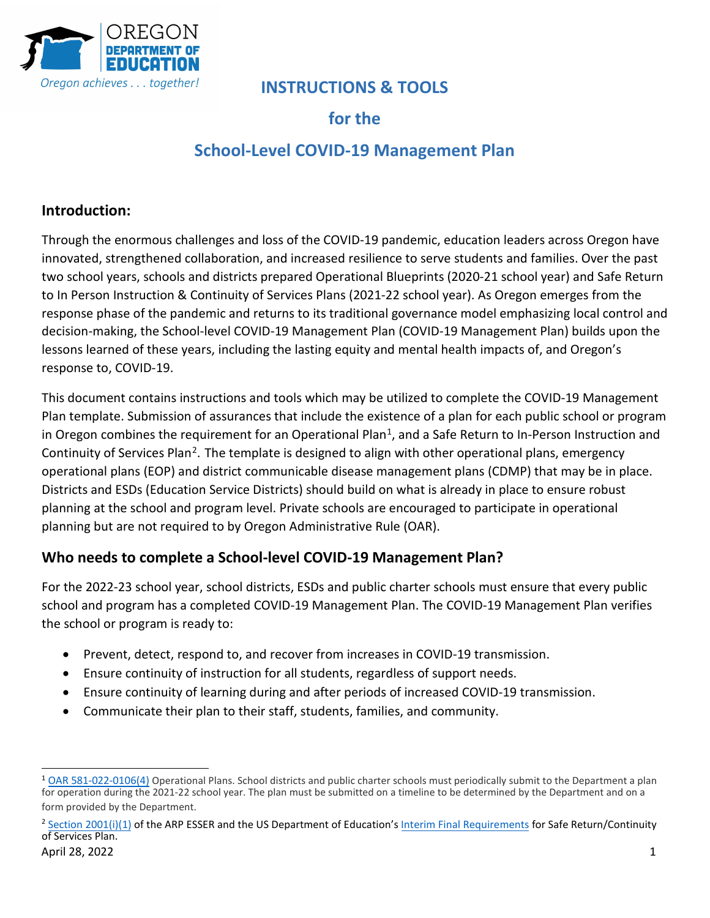

## **INSTRUCTIONS & TOOLS**

## **for the**

# **School-Level COVID-19 Management Plan**

## **Introduction:**

Through the enormous challenges and loss of the COVID-19 pandemic, education leaders across Oregon have innovated, strengthened collaboration, and increased resilience to serve students and families. Over the past two school years, schools and districts prepared Operational Blueprints (2020-21 school year) and Safe Return to In Person Instruction & Continuity of Services Plans (2021-22 school year). As Oregon emerges from the response phase of the pandemic and returns to its traditional governance model emphasizing local control and decision-making, the School-level COVID-19 Management Plan (COVID-19 Management Plan) builds upon the lessons learned of these years, including the lasting equity and mental health impacts of, and Oregon's response to, COVID-19.

This document contains instructions and tools which may be utilized to complete the COVID-19 Management Plan template. Submission of assurances that include the existence of a plan for each public school or program in Oregon combines the requirement for an Operational Plan<sup>1</sup>, and a Safe Return to In-Person Instruction and Continuity of Services Plan<sup>2</sup>. The template is designed to align with other operational plans, emergency operational plans (EOP) and district communicable disease management plans (CDMP) that may be in place. Districts and ESDs (Education Service Districts) should build on what is already in place to ensure robust planning at the school and program level. Private schools are encouraged to participate in operational planning but are not required to by Oregon Administrative Rule (OAR).

### **Who needs to complete a School-level COVID-19 Management Plan?**

For the 2022-23 school year, school districts, ESDs and public charter schools must ensure that every public school and program has a completed COVID-19 Management Plan. The COVID-19 Management Plan verifies the school or program is ready to:

- Prevent, detect, respond to, and recover from increases in COVID-19 transmission.
- Ensure continuity of instruction for all students, regardless of support needs.
- Ensure continuity of learning during and after periods of increased COVID-19 transmission.
- Communicate their plan to their staff, students, families, and community.

<span id="page-0-0"></span><sup>1</sup> [OAR 581-022-0106\(4\)](https://secure.sos.state.or.us/oard/viewSingleRule.action?ruleVrsnRsn=282670) Operational Plans. School districts and public charter schools must periodically submit to the Department a plan for operation during the 2021-22 school year. The plan must be submitted on a timeline to be determined by the Department and on a form provided by the Department.

<span id="page-0-1"></span><sup>&</sup>lt;sup>2</sup> [Section 2001\(i\)\(1\)](https://www.congress.gov/bill/117th-congress/house-bill/1319/text#H750E36BDE0EB41249B8BE928436D6048) of the ARP ESSER and the US Department of Education's [Interim Final Requirements](https://www.federalregister.gov/documents/2021/04/22/2021-08359/american-rescue-plan-act-elementary-and-secondary-school-emergency-relief-fund) for Safe Return/Continuity of Services Plan. April 28, 2022 **1**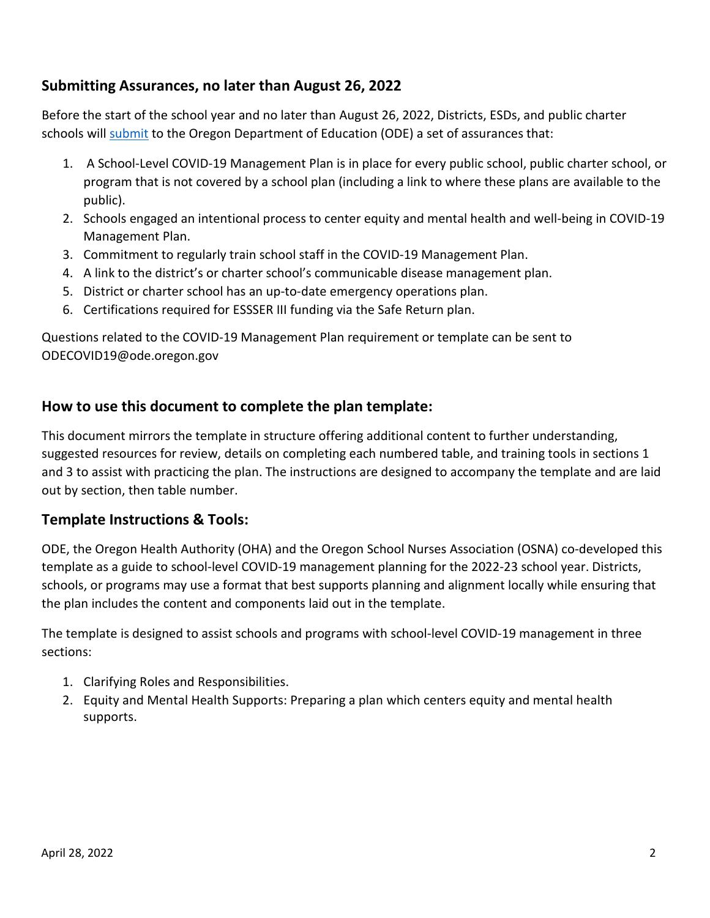### **Submitting Assurances, no later than August 26, 2022**

Before the start of the school year and no later than August 26, 2022, Districts, ESDs, and public charter schools will **submit** to the Oregon Department of Education (ODE) a set of assurances that:

- 1. A School-Level COVID-19 Management Plan is in place for every public school, public charter school, or program that is not covered by a school plan (including a link to where these plans are available to the public).
- 2. Schools engaged an intentional process to center equity and mental health and well-being in COVID-19 Management Plan.
- 3. Commitment to regularly train school staff in the COVID-19 Management Plan.
- 4. A link to the district's or charter school's communicable disease management plan.
- 5. District or charter school has an up-to-date emergency operations plan.
- 6. Certifications required for ESSSER III funding via the Safe Return plan.

Questions related to the COVID-19 Management Plan requirement or template can be sent to ODECOVID19@ode.oregon.gov

### **How to use this document to complete the plan template:**

This document mirrors the template in structure offering additional content to further understanding, suggested resources for review, details on completing each numbered table, and training tools in sections 1 and 3 to assist with practicing the plan. The instructions are designed to accompany the template and are laid out by section, then table number.

#### **Template Instructions & Tools:**

ODE, the Oregon Health Authority (OHA) and the Oregon School Nurses Association (OSNA) co-developed this template as a guide to school-level COVID-19 management planning for the 2022-23 school year. Districts, schools, or programs may use a format that best supports planning and alignment locally while ensuring that the plan includes the content and components laid out in the template.

The template is designed to assist schools and programs with school-level COVID-19 management in three sections:

- 1. Clarifying Roles and Responsibilities.
- 2. Equity and Mental Health Supports: Preparing a plan which centers equity and mental health supports.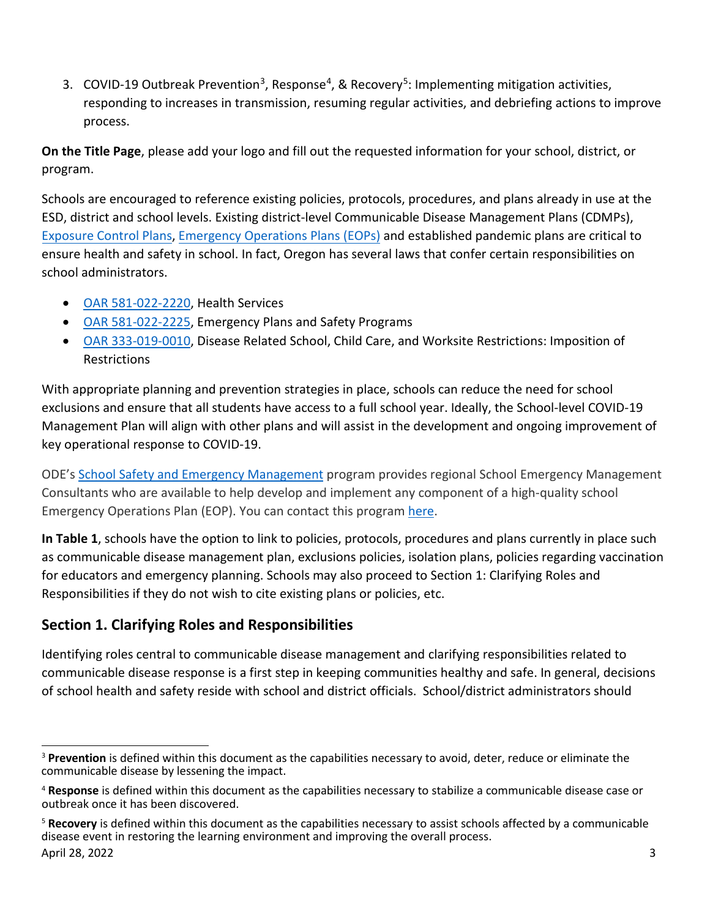3. COVID-19 Outbreak Prevention<sup>3</sup>, Response<sup>4</sup>, & Recovery<sup>5</sup>: Implementing mitigation activities, responding to increases in transmission, resuming regular activities, and debriefing actions to improve process.

**On the Title Page**, please add your logo and fill out the requested information for your school, district, or program.

Schools are encouraged to reference existing policies, protocols, procedures, and plans already in use at the ESD, district and school levels. Existing district-level Communicable Disease Management Plans (CDMPs), Exposure [Control Plans,](https://osha.oregon.gov/OSHARules/div2/div2Z-1030-bloodborne.pdf) [Emergency Operations](https://www.oregon.gov/ode/schools-and-districts/grants/Pages/School-Safety-and-Emergency-Management-Contacts.aspx) Plans (EOPs) and established pandemic plans are critical to ensure health and safety in school. In fact, Oregon has several laws that confer certain responsibilities on school administrators.

- [OAR 581-022-2220,](https://secure.sos.state.or.us/oard/viewSingleRule.action?ruleVrsnRsn=145269) Health Services
- [OAR 581-022-2225,](https://secure.sos.state.or.us/oard/viewSingleRule.action?ruleVrsnRsn=145271) Emergency Plans and Safety Programs
- [OAR 333-019-0010,](https://secure.sos.state.or.us/oard/viewSingleRule.action?ruleVrsnRsn=287268) Disease Related School, Child Care, and Worksite Restrictions: Imposition of Restrictions

With appropriate planning and prevention strategies in place, schools can reduce the need for school exclusions and ensure that all students have access to a full school year. Ideally, the School-level COVID-19 Management Plan will align with other plans and will assist in the development and ongoing improvement of key operational response to COVID-19.

ODE's [School Safety and Emergency Management](https://www.oregon.gov/ode/schools-and-districts/grants/Pages/School-Safety-and-Emergency-Management-Contacts.aspx) program provides regional School Emergency Management Consultants who are available to help develop and implement any component of a high-quality school Emergency Operations Plan (EOP). You can contact this program [here.](https://www.oregon.gov/ode/schools-and-districts/grants/Pages/School-Safety-and-Emergency-Management-Contacts.aspx)

**In Table 1**, schools have the option to link to policies, protocols, procedures and plans currently in place such as communicable disease management plan, exclusions policies, isolation plans, policies regarding vaccination for educators and emergency planning. Schools may also proceed to Section 1: Clarifying Roles and Responsibilities if they do not wish to cite existing plans or policies, etc.

## **Section 1. Clarifying Roles and Responsibilities**

Identifying roles central to communicable disease management and clarifying responsibilities related to communicable disease response is a first step in keeping communities healthy and safe. In general, decisions of school health and safety reside with school and district officials. School/district administrators should

<span id="page-2-0"></span><sup>3</sup> **Prevention** is defined within this document as the capabilities necessary to avoid, deter, reduce or eliminate the communicable disease by lessening the impact.

<span id="page-2-1"></span><sup>4</sup> **Response** is defined within this document as the capabilities necessary to stabilize a communicable disease case or outbreak once it has been discovered.

<span id="page-2-2"></span><sup>5</sup> **Recovery** is defined within this document as the capabilities necessary to assist schools affected by a communicable disease event in restoring the learning environment and improving the overall process. April 28, 2022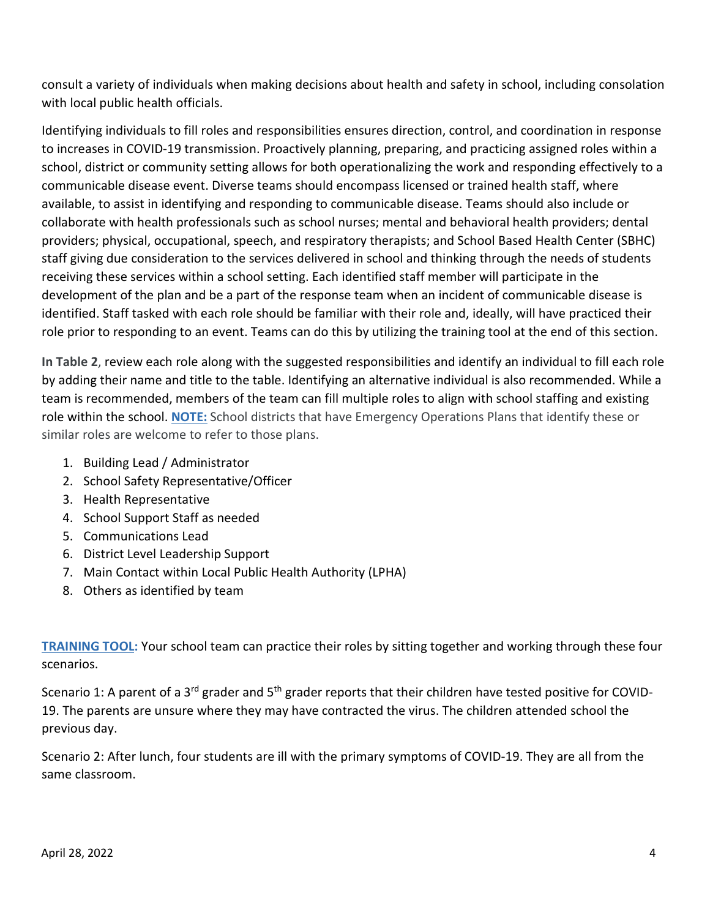consult a variety of individuals when making decisions about health and safety in school, including consolation with local public health officials.

Identifying individuals to fill roles and responsibilities ensures direction, control, and coordination in response to increases in COVID-19 transmission. Proactively planning, preparing, and practicing assigned roles within a school, district or community setting allows for both operationalizing the work and responding effectively to a communicable disease event. Diverse teams should encompass licensed or trained health staff, where available, to assist in identifying and responding to communicable disease. Teams should also include or collaborate with health professionals such as school nurses; mental and behavioral health providers; dental providers; physical, occupational, speech, and respiratory therapists; and School Based Health Center (SBHC) staff giving due consideration to the services delivered in school and thinking through the needs of students receiving these services within a school setting. Each identified staff member will participate in the development of the plan and be a part of the response team when an incident of communicable disease is identified. Staff tasked with each role should be familiar with their role and, ideally, will have practiced their role prior to responding to an event. Teams can do this by utilizing the training tool at the end of this section.

**In Table 2**, review each role along with the suggested responsibilities and identify an individual to fill each role by adding their name and title to the table. Identifying an alternative individual is also recommended. While a team is recommended, members of the team can fill multiple roles to align with school staffing and existing role within the school. **NOTE:** School districts that have Emergency Operations Plans that identify these or similar roles are welcome to refer to those plans.

- 1. Building Lead / Administrator
- 2. School Safety Representative/Officer
- 3. Health Representative
- 4. School Support Staff as needed
- 5. Communications Lead
- 6. District Level Leadership Support
- 7. Main Contact within Local Public Health Authority (LPHA)
- 8. Others as identified by team

**TRAINING TOOL:** Your school team can practice their roles by sitting together and working through these four scenarios.

Scenario 1: A parent of a 3<sup>rd</sup> grader and 5<sup>th</sup> grader reports that their children have tested positive for COVID-19. The parents are unsure where they may have contracted the virus. The children attended school the previous day.

Scenario 2: After lunch, four students are ill with the primary symptoms of COVID-19. They are all from the same classroom.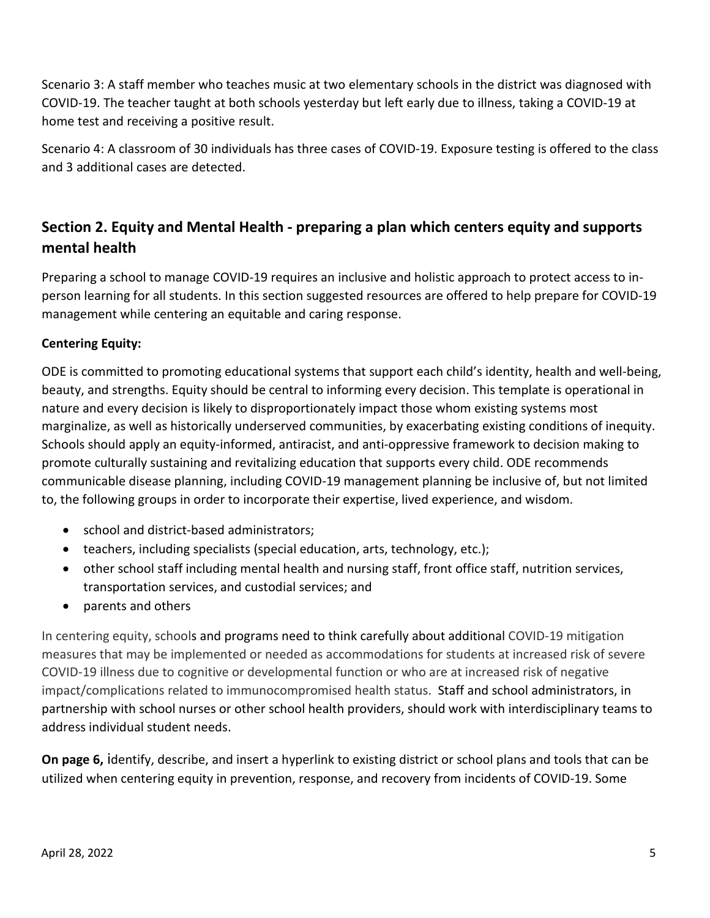Scenario 3: A staff member who teaches music at two elementary schools in the district was diagnosed with COVID-19. The teacher taught at both schools yesterday but left early due to illness, taking a COVID-19 at home test and receiving a positive result.

Scenario 4: A classroom of 30 individuals has three cases of COVID-19. Exposure testing is offered to the class and 3 additional cases are detected.

## **Section 2. Equity and Mental Health - preparing a plan which centers equity and supports mental health**

Preparing a school to manage COVID-19 requires an inclusive and holistic approach to protect access to inperson learning for all students. In this section suggested resources are offered to help prepare for COVID-19 management while centering an equitable and caring response.

#### **Centering Equity:**

ODE is committed to promoting educational systems that support each child's identity, health and well-being, beauty, and strengths. Equity should be central to informing every decision. This template is operational in nature and every decision is likely to disproportionately impact those whom existing systems most marginalize, as well as historically underserved communities, by exacerbating existing conditions of inequity. Schools should apply an equity-informed, antiracist, and anti-oppressive framework to decision making to promote culturally sustaining and revitalizing education that supports every child. ODE recommends communicable disease planning, including COVID-19 management planning be inclusive of, but not limited to, the following groups in order to incorporate their expertise, lived experience, and wisdom.

- school and district-based administrators;
- teachers, including specialists (special education, arts, technology, etc.);
- other school staff including mental health and nursing staff, front office staff, nutrition services, transportation services, and custodial services; and
- parents and others

In centering equity, schools and programs need to think carefully about additional COVID-19 mitigation measures that may be implemented or needed as accommodations for students at increased risk of severe COVID-19 illness due to cognitive or developmental function or who are at increased risk of negative impact/complications related to immunocompromised health status. Staff and school administrators, in partnership with school nurses or other school health providers, should work with interdisciplinary teams to address individual student needs.

**On page 6,** identify, describe, and insert a hyperlink to existing district or school plans and tools that can be utilized when centering equity in prevention, response, and recovery from incidents of COVID-19. Some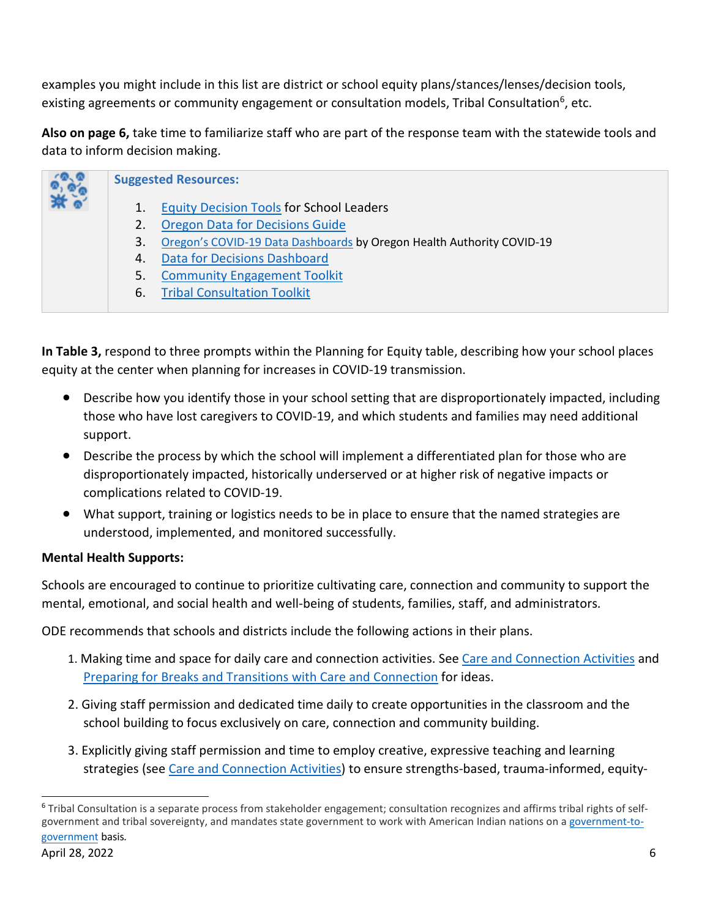examples you might include in this list are district or school equity plans/stances/lenses/decision tools, existing agreements or community engagement or consultation models, Tribal Consultation<sup>[6](#page-5-0)</sup>, etc.

**Also on page 6,** take time to familiarize staff who are part of the response team with the statewide tools and data to inform decision making.

| <b>Suggested Resources:</b> |                                                                       |
|-----------------------------|-----------------------------------------------------------------------|
|                             | <b>Equity Decision Tools for School Leaders</b>                       |
| 2.                          | <b>Oregon Data for Decisions Guide</b>                                |
| 3.                          | Oregon's COVID-19 Data Dashboards by Oregon Health Authority COVID-19 |
| 4.                          | <b>Data for Decisions Dashboard</b>                                   |
| 5.                          | <b>Community Engagement Toolkit</b>                                   |
| 6.                          | <b>Tribal Consultation Toolkit</b>                                    |

**In Table 3,** respond to three prompts within the Planning for Equity table, describing how your school places equity at the center when planning for increases in COVID-19 transmission.

- Describe how you identify those in your school setting that are disproportionately impacted, including those who have lost caregivers to COVID-19, and which students and families may need additional support.
- Describe the process by which the school will implement a differentiated plan for those who are disproportionately impacted, historically underserved or at higher risk of negative impacts or complications related to COVID-19.
- What support, training or logistics needs to be in place to ensure that the named strategies are understood, implemented, and monitored successfully.

### **Mental Health Supports:**

Schools are encouraged to continue to prioritize cultivating care, connection and community to support the mental, emotional, and social health and well-being of students, families, staff, and administrators.

ODE recommends that schools and districts include the following actions in their plans.

- 1. Making time and space for daily care and connection activities. See [Care and Connection Activities](https://www.oregon.gov/ode/students-and-family/healthsafety/Documents/Care%20and%20Connection%20Week%20Activities.pdf) and [Preparing for Breaks and Transitions with Care and Connection](https://www.oregon.gov/ode/students-and-family/equity/SchoolSafety/Documents/Preparing%20for%20Breaks%20and%20Transitions%20With%20Care%20and%20Connection.pdf) for ideas.
- 2. Giving staff permission and dedicated time daily to create opportunities in the classroom and the school building to focus exclusively on care, connection and community building.
- 3. Explicitly giving staff permission and time to employ creative, expressive teaching and learning strategies (see Care [and Connection Activities\)](https://www.oregon.gov/ode/students-and-family/healthsafety/Documents/Care%20and%20Connection%20Week%20Activities.pdf) to ensure strengths-based, trauma-informed, equity-

<span id="page-5-0"></span><sup>6</sup> Tribal Consultation is a separate process from stakeholder engagement; consultation recognizes and affirms tribal rights of selfgovernment and tribal sovereignty, and mandates state government to work with American Indian nations on a [government-to](https://www.justice.gov/archive/otj/Presidential_Statements/presdoc1.htm)[government](https://www.justice.gov/archive/otj/Presidential_Statements/presdoc1.htm) basis*.*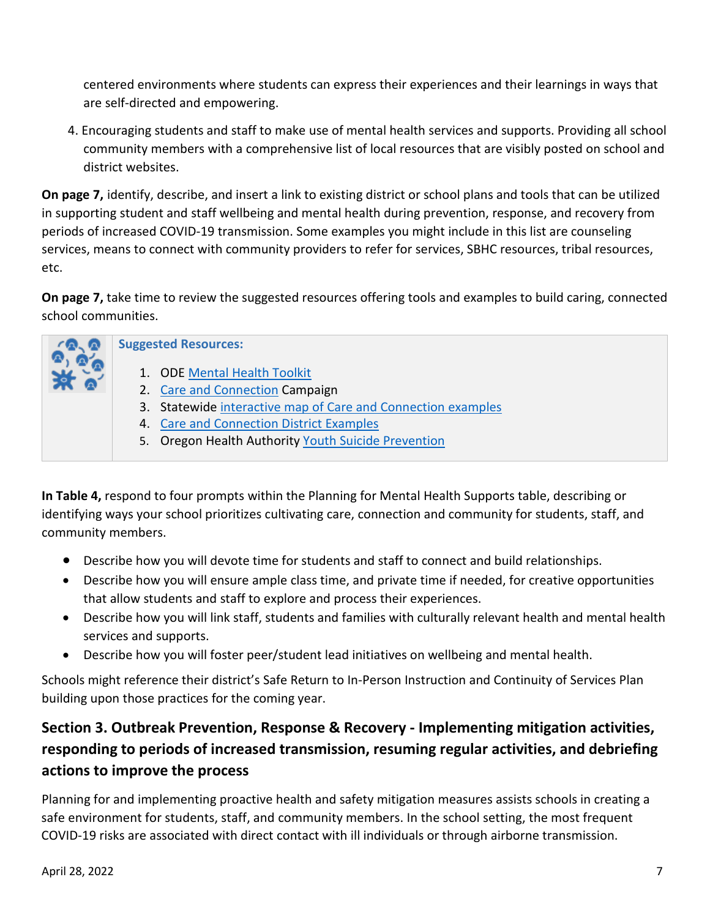centered environments where students can express their experiences and their learnings in ways that are self-directed and empowering.

4. Encouraging students and staff to make use of mental health services and supports. Providing all school community members with a comprehensive list of local resources that are visibly posted on school and district websites.

**On page 7,** identify, describe, and insert a link to existing district or school plans and tools that can be utilized in supporting student and staff wellbeing and mental health during prevention, response, and recovery from periods of increased COVID-19 transmission. Some examples you might include in this list are counseling services, means to connect with community providers to refer for services, SBHC resources, tribal resources, etc.

**On page 7,** take time to review the suggested resources offering tools and examples to build caring, connected school communities.

| <b>Suggested Resources:</b>                                                                                                                                                                                                        |  |
|------------------------------------------------------------------------------------------------------------------------------------------------------------------------------------------------------------------------------------|--|
| 1. ODE Mental Health Toolkit<br>2. Care and Connection Campaign<br>3. Statewide interactive map of Care and Connection examples<br>4. Care and Connection District Examples<br>5. Oregon Health Authority Youth Suicide Prevention |  |

**In Table 4,** respond to four prompts within the Planning for Mental Health Supports table, describing or identifying ways your school prioritizes cultivating care, connection and community for students, staff, and community members.

- Describe how you will devote time for students and staff to connect and build relationships.
- Describe how you will ensure ample class time, and private time if needed, for creative opportunities that allow students and staff to explore and process their experiences.
- Describe how you will link staff, students and families with culturally relevant health and mental health services and supports.
- Describe how you will foster peer/student lead initiatives on wellbeing and mental health.

Schools might reference their district's Safe Return to In-Person Instruction and Continuity of Services Plan building upon those practices for the coming year.

# **Section 3. Outbreak Prevention, Response & Recovery - Implementing mitigation activities, responding to periods of increased transmission, resuming regular activities, and debriefing actions to improve the process**

Planning for and implementing proactive health and safety mitigation measures assists schools in creating a safe environment for students, staff, and community members. In the school setting, the most frequent COVID-19 risks are associated with direct contact with ill individuals or through airborne transmission.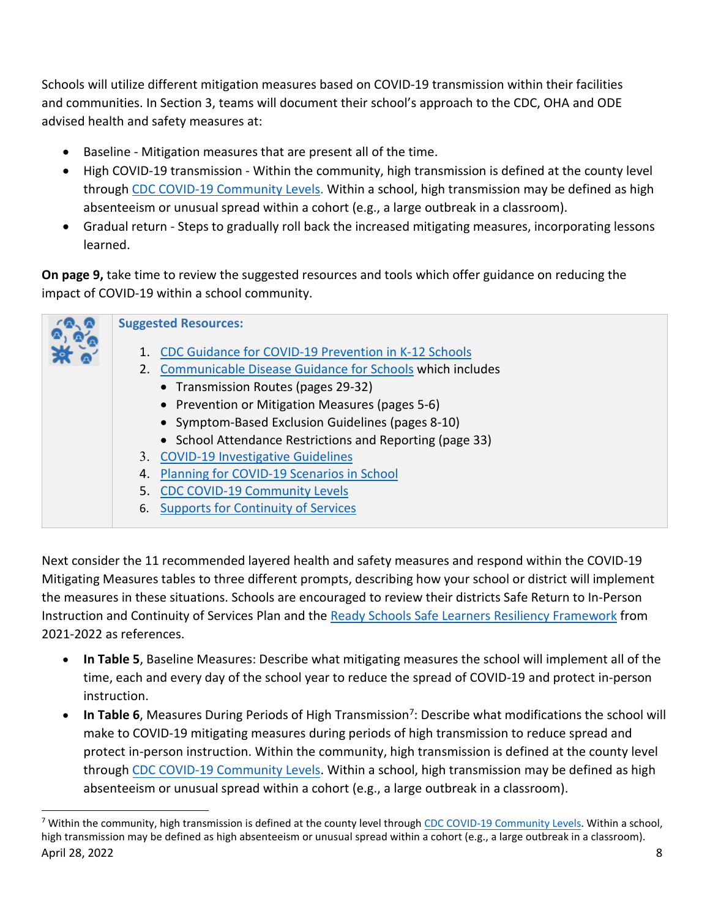Schools will utilize different mitigation measures based on COVID-19 transmission within their facilities and communities. In Section 3, teams will document their school's approach to the CDC, OHA and ODE advised health and safety measures at:

- Baseline Mitigation measures that are present all of the time.
- High COVID-19 transmission Within the community, high transmission is defined at the county level through CDC COVID-19 Community Levels. Within a school, high transmission may be defined as high absenteeism or unusual spread within a cohort (e.g., a large outbreak in a classroom).
- Gradual return Steps to gradually roll back the increased mitigating measures, incorporating lessons learned.

**On page 9,** take time to review the suggested resources and tools which offer guidance on reducing the impact of COVID-19 within a school community.



Next consider the 11 recommended layered health and safety measures and respond within the COVID-19 Mitigating Measures tables to three different prompts, describing how your school or district will implement the measures in these situations. Schools are encouraged to review their districts Safe Return to In-Person Instruction and Continuity of Services Plan and the [Ready Schools Safe Learners Resiliency Framework](https://www.oregon.gov/ode/students-and-family/healthsafety/Documents/Ready%20Schools%20Safe%20Learners%20Resiliency%20Framework%20for%20the%202021-22%20School%20Year.pdf?utm_medium=email&utm_source=govdelivery) from 2021-2022 as references.

- **In Table 5**, Baseline Measures: Describe what mitigating measures the school will implement all of the time, each and every day of the school year to reduce the spread of COVID-19 and protect in-person instruction.
- **In Table 6**, Measures During Periods of High Transmission<sup>[7](#page-7-0)</sup>: Describe what modifications the school will make to COVID-19 mitigating measures during periods of high transmission to reduce spread and protect in-person instruction. Within the community, high transmission is defined at the county level through [CDC COVID-19 Community Levels.](https://www.cdc.gov/coronavirus/2019-ncov/your-health/covid-by-county.html) Within a school, high transmission may be defined as high absenteeism or unusual spread within a cohort (e.g., a large outbreak in a classroom).

<span id="page-7-0"></span><sup>&</sup>lt;sup>7</sup> Within the community, high transmission is defined at the county level through CDC COVID-19 Community Levels. Within a school, high transmission may be defined as high absenteeism or unusual spread within a cohort (e.g., a large outbreak in a classroom). April 28, 2022 8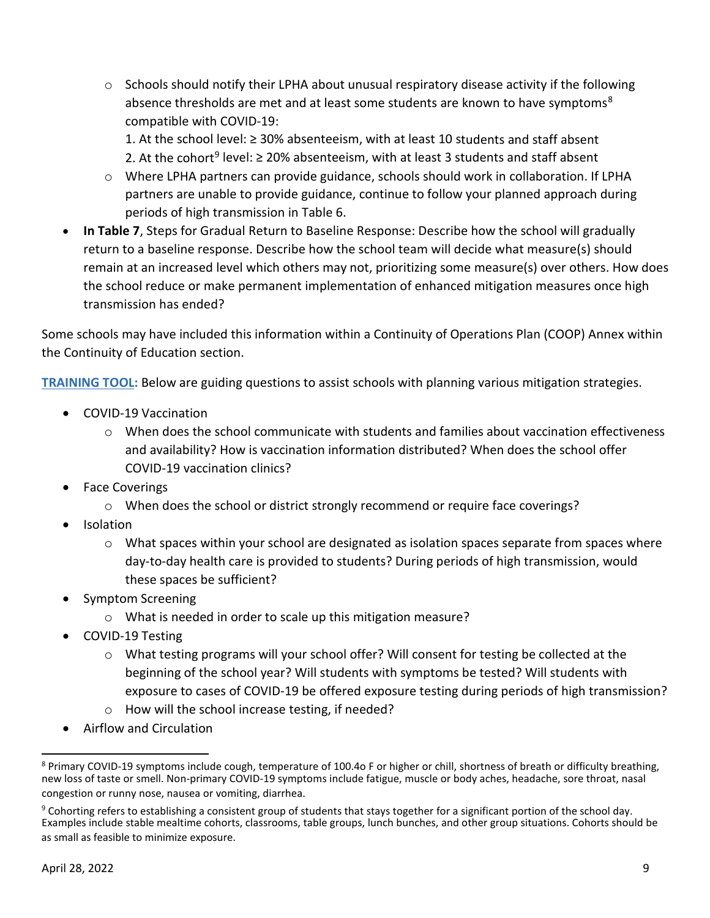$\circ$  Schools should notify their LPHA about unusual respiratory disease activity if the following absence thresholds are met and at least some students are known to have symptoms<sup>[8](#page-8-0)</sup> compatible with COVID-19:

1. At the school level: ≥ 30% absenteeism, with at least 10 students and staff absent 2. At the cohort<sup>[9](#page-8-1)</sup> level:  $\geq$  20% absenteeism, with at least 3 students and staff absent

- o Where LPHA partners can provide guidance, schools should work in collaboration. If LPHA partners are unable to provide guidance, continue to follow your planned approach during periods of high transmission in Table 6.
- **In Table 7**, Steps for Gradual Return to Baseline Response: Describe how the school will gradually return to a baseline response. Describe how the school team will decide what measure(s) should remain at an increased level which others may not, prioritizing some measure(s) over others. How does the school reduce or make permanent implementation of enhanced mitigation measures once high transmission has ended?

Some schools may have included this information within a Continuity of Operations Plan (COOP) Annex within the Continuity of Education section.

**TRAINING TOOL:** Below are guiding questions to assist schools with planning various mitigation strategies.

- COVID-19 Vaccination
	- $\circ$  When does the school communicate with students and families about vaccination effectiveness and availability? How is vaccination information distributed? When does the school offer COVID-19 vaccination clinics?
- **Face Coverings** 
	- o When does the school or district strongly recommend or require face coverings?
- Isolation
	- $\circ$  What spaces within your school are designated as isolation spaces separate from spaces where day-to-day health care is provided to students? During periods of high transmission, would these spaces be sufficient?
- Symptom Screening
	- o What is needed in order to scale up this mitigation measure?
- COVID-19 Testing
	- $\circ$  What testing programs will your school offer? Will consent for testing be collected at the beginning of the school year? Will students with symptoms be tested? Will students with exposure to cases of COVID-19 be offered exposure testing during periods of high transmission?
	- o How will the school increase testing, if needed?
- Airflow and Circulation

<span id="page-8-0"></span><sup>&</sup>lt;sup>8</sup> Primary COVID-19 symptoms include cough, temperature of 100.4o F or higher or chill, shortness of breath or difficulty breathing, new loss of taste or smell. Non-primary COVID-19 symptoms include fatigue, muscle or body aches, headache, sore throat, nasal congestion or runny nose, nausea or vomiting, diarrhea.

<span id="page-8-1"></span> $9$  Cohorting refers to establishing a consistent group of students that stays together for a significant portion of the school day. Examples include stable mealtime cohorts, classrooms, table groups, lunch bunches, and other group situations. Cohorts should be as small as feasible to minimize exposure.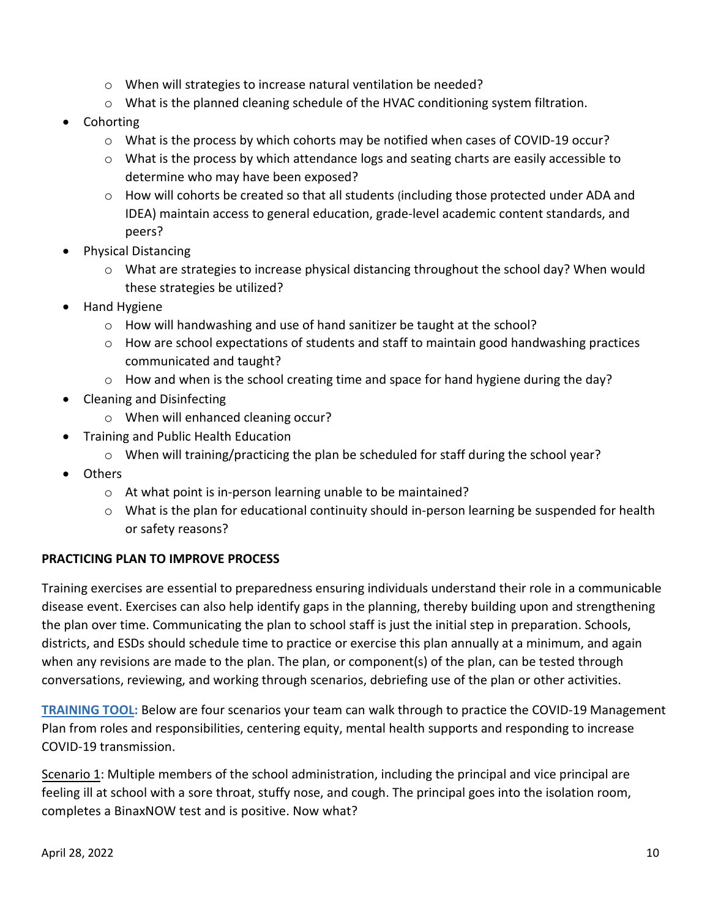- o When will strategies to increase natural ventilation be needed?
- $\circ$  What is the planned cleaning schedule of the HVAC conditioning system filtration.
- Cohorting
	- o What is the process by which cohorts may be notified when cases of COVID-19 occur?
	- $\circ$  What is the process by which attendance logs and seating charts are easily accessible to determine who may have been exposed?
	- $\circ$  How will cohorts be created so that all students (including those protected under ADA and IDEA) maintain access to general education, grade-level academic content standards, and peers?
- Physical Distancing
	- $\circ$  What are strategies to increase physical distancing throughout the school day? When would these strategies be utilized?
- Hand Hygiene
	- o How will handwashing and use of hand sanitizer be taught at the school?
	- o How are school expectations of students and staff to maintain good handwashing practices communicated and taught?
	- $\circ$  How and when is the school creating time and space for hand hygiene during the day?
- Cleaning and Disinfecting
	- o When will enhanced cleaning occur?
- Training and Public Health Education
	- $\circ$  When will training/practicing the plan be scheduled for staff during the school year?
- Others
	- o At what point is in-person learning unable to be maintained?
	- $\circ$  What is the plan for educational continuity should in-person learning be suspended for health or safety reasons?

#### **PRACTICING PLAN TO IMPROVE PROCESS**

Training exercises are essential to preparedness ensuring individuals understand their role in a communicable disease event. Exercises can also help identify gaps in the planning, thereby building upon and strengthening the plan over time. Communicating the plan to school staff is just the initial step in preparation. Schools, districts, and ESDs should schedule time to practice or exercise this plan annually at a minimum, and again when any revisions are made to the plan. The plan, or component(s) of the plan, can be tested through conversations, reviewing, and working through scenarios, debriefing use of the plan or other activities.

**TRAINING TOOL:** Below are four scenarios your team can walk through to practice the COVID-19 Management Plan from roles and responsibilities, centering equity, mental health supports and responding to increase COVID-19 transmission.

Scenario 1: Multiple members of the school administration, including the principal and vice principal are feeling ill at school with a sore throat, stuffy nose, and cough. The principal goes into the isolation room, completes a BinaxNOW test and is positive. Now what?